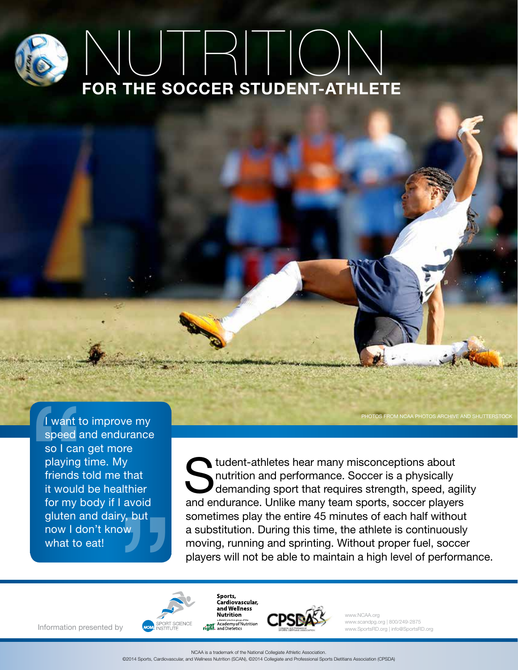# FOR THE SOCCER STUDENT-ATHLETE NUTRITION

I want to improve my speed and endurance so I can get more playing time. My friends told me that it would be healthier for my body if I avoid gluten and dairy, but now I don't know what to eat! I want to<br>speed a<br>so I can<br>playing i<br>friends t<br>it would<br>for my b<br>gluten a ry, but<br>
OW<br>
OW<br>
OY<br>
NEW BROKES

student-athletes hear many misconceptions about nutrition and performance. Soccer is a physically demanding sport that requires strength, speed, agility and endurance. Unlike many team sports, soccer players sometimes play the entire 45 minutes of each half without a substitution. During this time, the athlete is continuously moving, running and sprinting. Without proper fuel, soccer players will not be able to maintain a high level of performance.

www.NCAA.org

www.scandpg.org | 800/249-2875 www.SportsRD.org | info@SportsRD.org

PHOTOS FROM NCAA PHOTOS ARCHIVE AND SHUTTERSTOCK



Information presented by

NCAA is a trademark of the National Collegiate Athletic Association.

Sports, **Cardiovascular,<br>and Wellness Nutrition** 

©2014 Sports, Cardiovascular, and Wellness Nutrition (SCAN), ©2014 Collegiate and Professional Sports Dietitians Association (CPSDA)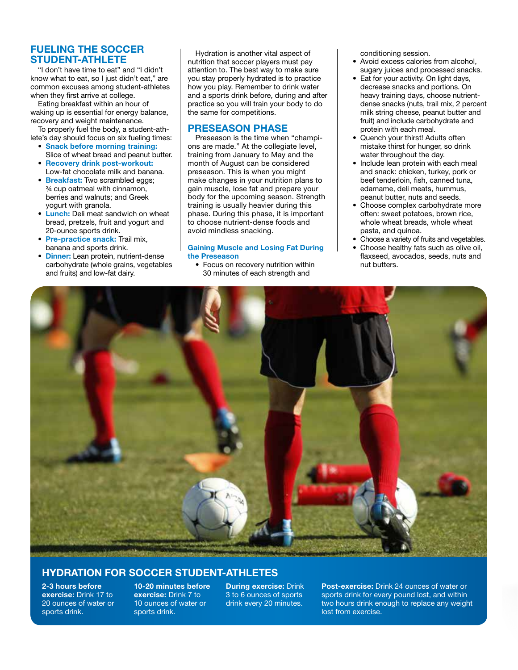# FUELING THE SOCCER STUDENT-ATHLETE

"I don't have time to eat" and "I didn't know what to eat, so I just didn't eat," are common excuses among student-athletes when they first arrive at college.

Eating breakfast within an hour of waking up is essential for energy balance, recovery and weight maintenance.

To properly fuel the body, a student-athlete's day should focus on six fueling times:

- Snack before morning training: Slice of wheat bread and peanut butter.
- Recovery drink post-workout: Low-fat chocolate milk and banana.
- Breakfast: Two scrambled eggs; ¾ cup oatmeal with cinnamon, berries and walnuts; and Greek yogurt with granola.
- **Lunch:** Deli meat sandwich on wheat bread, pretzels, fruit and yogurt and 20-ounce sports drink.
- Pre-practice snack: Trail mix. banana and sports drink.
- Dinner: Lean protein, nutrient-dense carbohydrate (whole grains, vegetables and fruits) and low-fat dairy.

Hydration is another vital aspect of nutrition that soccer players must pay attention to. The best way to make sure you stay properly hydrated is to practice how you play. Remember to drink water and a sports drink before, during and after practice so you will train your body to do the same for competitions.

# PRESEASON PHASE

Preseason is the time when "champions are made." At the collegiate level, training from January to May and the month of August can be considered preseason. This is when you might make changes in your nutrition plans to gain muscle, lose fat and prepare your body for the upcoming season. Strength training is usually heavier during this phase. During this phase, it is important to choose nutrient-dense foods and avoid mindless snacking.

#### Gaining Muscle and Losing Fat During the Preseason

• Focus on recovery nutrition within 30 minutes of each strength and

conditioning session.

- Avoid excess calories from alcohol, sugary juices and processed snacks.
- Eat for your activity. On light days, decrease snacks and portions. On heavy training days, choose nutrientdense snacks (nuts, trail mix, 2 percent milk string cheese, peanut butter and fruit) and include carbohydrate and protein with each meal.
- Quench your thirst! Adults often mistake thirst for hunger, so drink water throughout the day.
- Include lean protein with each meal and snack: chicken, turkey, pork or beef tenderloin, fish, canned tuna, edamame, deli meats, hummus, peanut butter, nuts and seeds.
- Choose complex carbohydrate more often: sweet potatoes, brown rice, whole wheat breads, whole wheat pasta, and quinoa.
- Choose a variety of fruits and vegetables.
- Choose healthy fats such as olive oil, flaxseed, avocados, seeds, nuts and nut butters.



# HYDRATION FOR SOCCER STUDENT-ATHLETES

2-3 hours before exercise: Drink 17 to 20 ounces of water or sports drink.

10-20 minutes before exercise: Drink 7 to 10 ounces of water or sports drink.

During exercise: Drink 3 to 6 ounces of sports drink every 20 minutes.

Post-exercise: Drink 24 ounces of water or sports drink for every pound lost, and within two hours drink enough to replace any weight lost from exercise.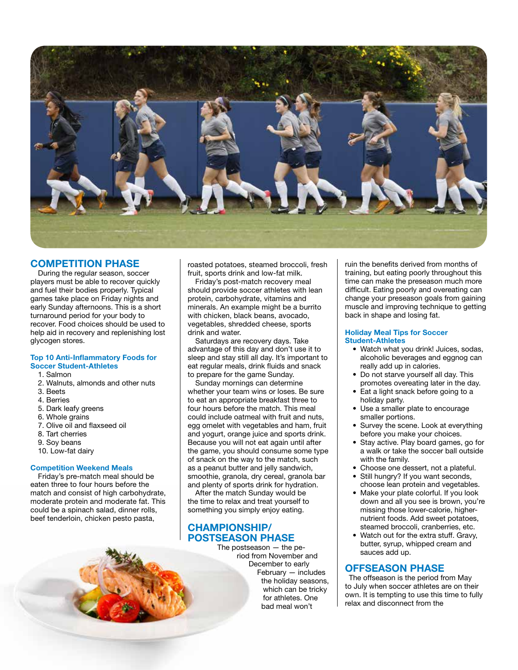

# COMPETITION PHASE

During the regular season, soccer players must be able to recover quickly and fuel their bodies properly. Typical games take place on Friday nights and early Sunday afternoons. This is a short turnaround period for your body to recover. Food choices should be used to help aid in recovery and replenishing lost glycogen stores.

#### Top 10 Anti-Inflammatory Foods for Soccer Student-Athletes

- 1. Salmon
- 2. Walnuts, almonds and other nuts
- 3. Beets
- 4. Berries
- 5. Dark leafy greens
- 6. Whole grains
- 7. Olive oil and flaxseed oil
- 8. Tart cherries
- 9. Soy beans
- 10. Low-fat dairy

# Competition Weekend Meals

Friday's pre-match meal should be eaten three to four hours before the match and consist of high carbohydrate, moderate protein and moderate fat. This could be a spinach salad, dinner rolls, beef tenderloin, chicken pesto pasta,

roasted potatoes, steamed broccoli, fresh fruit, sports drink and low-fat milk.

Friday's post-match recovery meal should provide soccer athletes with lean protein, carbohydrate, vitamins and minerals. An example might be a burrito with chicken, black beans, avocado, vegetables, shredded cheese, sports drink and water.

Saturdays are recovery days. Take advantage of this day and don't use it to sleep and stay still all day. It's important to eat regular meals, drink fluids and snack to prepare for the game Sunday.

Sunday mornings can determine whether your team wins or loses. Be sure to eat an appropriate breakfast three to four hours before the match. This meal could include oatmeal with fruit and nuts, egg omelet with vegetables and ham, fruit and yogurt, orange juice and sports drink. Because you will not eat again until after the game, you should consume some type of snack on the way to the match, such as a peanut butter and jelly sandwich, smoothie, granola, dry cereal, granola bar and plenty of sports drink for hydration.

After the match Sunday would be the time to relax and treat yourself to something you simply enjoy eating.

# CHAMPIONSHIP/ POSTSEASON PHASE

The postseason — the period from November and December to early February — includes the holiday seasons, which can be tricky for athletes. One bad meal won't

ruin the benefits derived from months of training, but eating poorly throughout this time can make the preseason much more difficult. Eating poorly and overeating can change your preseason goals from gaining muscle and improving technique to getting back in shape and losing fat.

#### Holiday Meal Tips for Soccer Student-Athletes

- Watch what you drink! Juices, sodas, alcoholic beverages and eggnog can really add up in calories.
- Do not starve yourself all day. This promotes overeating later in the day.
- Eat a light snack before going to a holiday party.
- Use a smaller plate to encourage smaller portions.
- Survey the scene. Look at everything before you make your choices.
- Stay active. Play board games, go for a walk or take the soccer ball outside with the family.
- Choose one dessert, not a plateful.
- Still hungry? If you want seconds, choose lean protein and vegetables.
- Make your plate colorful. If you look down and all you see is brown, you're missing those lower-calorie, highernutrient foods. Add sweet potatoes, steamed broccoli, cranberries, etc.
- Watch out for the extra stuff. Gravy, butter, syrup, whipped cream and sauces add up.

# OFFSEASON PHASE

The offseason is the period from May to July when soccer athletes are on their own. It is tempting to use this time to fully relax and disconnect from the